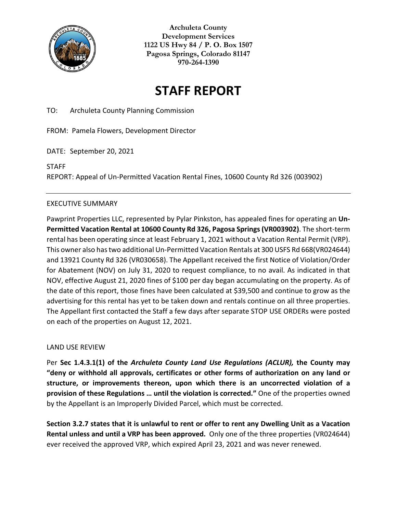

**Archuleta County Development Services 1122 US Hwy 84 / P. O. Box 1507 Pagosa Springs, Colorado 81147 970-264-1390**

# **STAFF REPORT**

TO: Archuleta County Planning Commission

FROM: Pamela Flowers, Development Director

DATE: September 20, 2021

STAFF

REPORT: Appeal of Un-Permitted Vacation Rental Fines, 10600 County Rd 326 (003902)

## EXECUTIVE SUMMARY

Pawprint Properties LLC, represented by Pylar Pinkston, has appealed fines for operating an **Un-Permitted Vacation Rental at 10600 County Rd 326, Pagosa Springs(VR003902)**. The short-term rental has been operating since at least February 1, 2021 without a Vacation Rental Permit (VRP). This owner also has two additional Un-Permitted Vacation Rentals at 300 USFS Rd 668(VR024644) and 13921 County Rd 326 (VR030658). The Appellant received the first Notice of Violation/Order for Abatement (NOV) on July 31, 2020 to request compliance, to no avail. As indicated in that NOV, effective August 21, 2020 fines of \$100 per day began accumulating on the property. As of the date of this report, those fines have been calculated at \$39,500 and continue to grow as the advertising for this rental has yet to be taken down and rentals continue on all three properties. The Appellant first contacted the Staff a few days after separate STOP USE ORDERs were posted on each of the properties on August 12, 2021.

## LAND USE REVIEW

Per **Sec 1.4.3.1(1) of the** *Archuleta County Land Use Regulations (ACLUR),* **the County may "deny or withhold all approvals, certificates or other forms of authorization on any land or structure, or improvements thereon, upon which there is an uncorrected violation of a provision of these Regulations … until the violation is corrected."** One of the properties owned by the Appellant is an Improperly Divided Parcel, which must be corrected.

**Section 3.2.7 states that it is unlawful to rent or offer to rent any Dwelling Unit as a Vacation Rental unless and until a VRP has been approved.** Only one of the three properties (VR024644) ever received the approved VRP, which expired April 23, 2021 and was never renewed.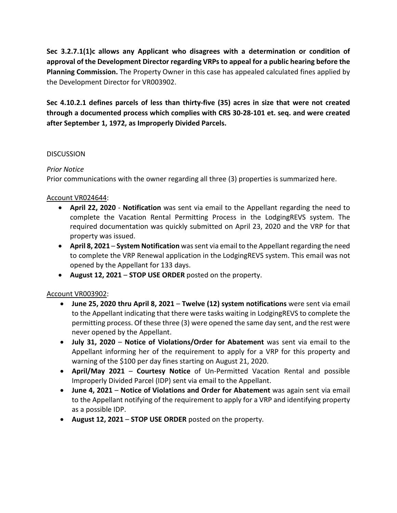**Sec 3.2.7.1(1)c allows any Applicant who disagrees with a determination or condition of approval of the Development Director regarding VRPs to appeal for a public hearing before the Planning Commission.** The Property Owner in this case has appealed calculated fines applied by the Development Director for VR003902.

**Sec 4.10.2.1 defines parcels of less than thirty-five (35) acres in size that were not created through a documented process which complies with CRS 30-28-101 et. seq. and were created after September 1, 1972, as Improperly Divided Parcels.**

## **DISCUSSION**

# *Prior Notice*

Prior communications with the owner regarding all three (3) properties is summarized here.

# Account VR024644:

- **April 22, 2020 Notification** was sent via email to the Appellant regarding the need to complete the Vacation Rental Permitting Process in the LodgingREVS system. The required documentation was quickly submitted on April 23, 2020 and the VRP for that property was issued.
- **April 8, 2021 System Notification** was sent via email to the Appellant regarding the need to complete the VRP Renewal application in the LodgingREVS system. This email was not opened by the Appellant for 133 days.
- **August 12, 2021 STOP USE ORDER** posted on the property.

# Account VR003902:

- **June 25, 2020 thru April 8, 2021 Twelve (12) system notifications** were sent via email to the Appellant indicating that there were tasks waiting in LodgingREVS to complete the permitting process. Of these three (3) were opened the same day sent, and the rest were never opened by the Appellant.
- **July 31, 2020 Notice of Violations/Order for Abatement** was sent via email to the Appellant informing her of the requirement to apply for a VRP for this property and warning of the \$100 per day fines starting on August 21, 2020.
- **April/May 2021 Courtesy Notice** of Un-Permitted Vacation Rental and possible Improperly Divided Parcel (IDP) sent via email to the Appellant.
- **June 4, 2021 Notice of Violations and Order for Abatement** was again sent via email to the Appellant notifying of the requirement to apply for a VRP and identifying property as a possible IDP.
- **August 12, 2021 STOP USE ORDER** posted on the property.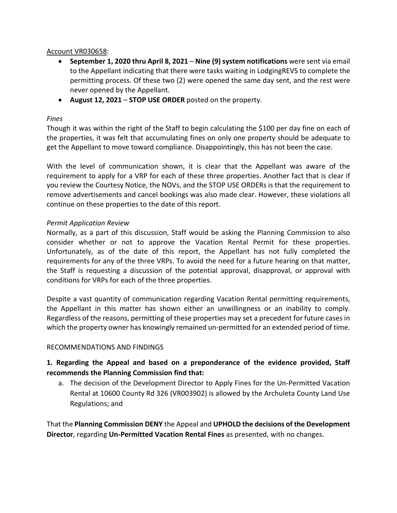## Account VR030658:

- **September 1, 2020 thru April 8, 2021 Nine (9) system notifications** were sent via email to the Appellant indicating that there were tasks waiting in LodgingREVS to complete the permitting process. Of these two (2) were opened the same day sent, and the rest were never opened by the Appellant.
- **August 12, 2021 STOP USE ORDER** posted on the property.

## *Fines*

Though it was within the right of the Staff to begin calculating the \$100 per day fine on each of the properties, it was felt that accumulating fines on only one property should be adequate to get the Appellant to move toward compliance. Disappointingly, this has not been the case.

With the level of communication shown, it is clear that the Appellant was aware of the requirement to apply for a VRP for each of these three properties. Another fact that is clear if you review the Courtesy Notice, the NOVs, and the STOP USE ORDERs is that the requirement to remove advertisements and cancel bookings was also made clear. However, these violations all continue on these properties to the date of this report.

# *Permit Application Review*

Normally, as a part of this discussion, Staff would be asking the Planning Commission to also consider whether or not to approve the Vacation Rental Permit for these properties. Unfortunately, as of the date of this report, the Appellant has not fully completed the requirements for any of the three VRPs. To avoid the need for a future hearing on that matter, the Staff is requesting a discussion of the potential approval, disapproval, or approval with conditions for VRPs for each of the three properties.

Despite a vast quantity of communication regarding Vacation Rental permitting requirements, the Appellant in this matter has shown either an unwillingness or an inability to comply. Regardless of the reasons, permitting of these properties may set a precedent for future cases in which the property owner has knowingly remained un-permitted for an extended period of time.

## RECOMMENDATIONS AND FINDINGS

# **1. Regarding the Appeal and based on a preponderance of the evidence provided, Staff recommends the Planning Commission find that:**

a. The decision of the Development Director to Apply Fines for the Un-Permitted Vacation Rental at 10600 County Rd 326 (VR003902) is allowed by the Archuleta County Land Use Regulations; and

That the **Planning Commission DENY** the Appeal and **UPHOLD the decisions of the Development Director**, regarding **Un-Permitted Vacation Rental Fines** as presented, with no changes.